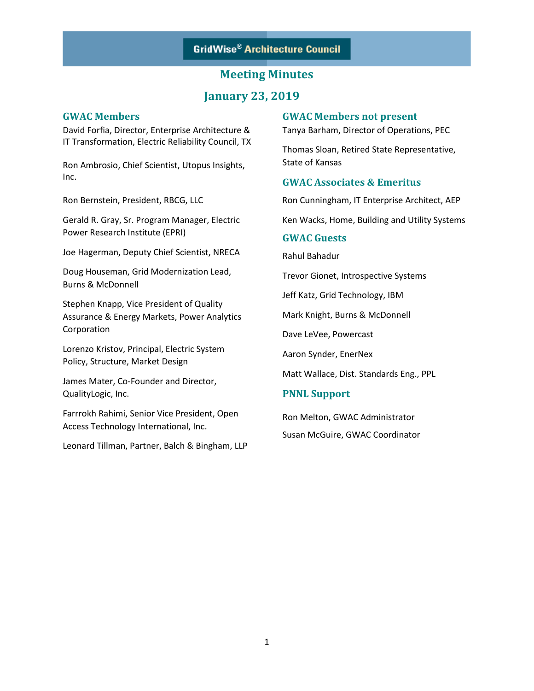### **Meeting Minutes**

### **January 23, 2019**

#### **GWAC Members**

David Forfia, Director, Enterprise Architecture & IT Transformation, Electric Reliability Council, TX

Ron Ambrosio, Chief Scientist, Utopus Insights, Inc.

Ron Bernstein, President, RBCG, LLC

Gerald R. Gray, Sr. Program Manager, Electric Power Research Institute (EPRI)

Joe Hagerman, Deputy Chief Scientist, NRECA

Doug Houseman, Grid Modernization Lead, Burns & McDonnell

Stephen Knapp, Vice President of Quality Assurance & Energy Markets, Power Analytics Corporation

Lorenzo Kristov, Principal, Electric System Policy, Structure, Market Design

James Mater, Co-Founder and Director, QualityLogic, Inc.

Farrrokh Rahimi, Senior Vice President, Open Access Technology International, Inc.

Leonard Tillman, Partner, Balch & Bingham, LLP

#### **GWAC Members not present**

Tanya Barham, Director of Operations, PEC

Thomas Sloan, Retired State Representative, State of Kansas

#### **GWAC Associates & Emeritus**

Ron Cunningham, IT Enterprise Architect, AEP

Ken Wacks, Home, Building and Utility Systems

#### **GWAC Guests**

Rahul Bahadur

Trevor Gionet, Introspective Systems

Jeff Katz, Grid Technology, IBM

Mark Knight, Burns & McDonnell

Dave LeVee, Powercast

Aaron Synder, EnerNex

Matt Wallace, Dist. Standards Eng., PPL

#### **PNNL Support**

Ron Melton, GWAC Administrator Susan McGuire, GWAC Coordinator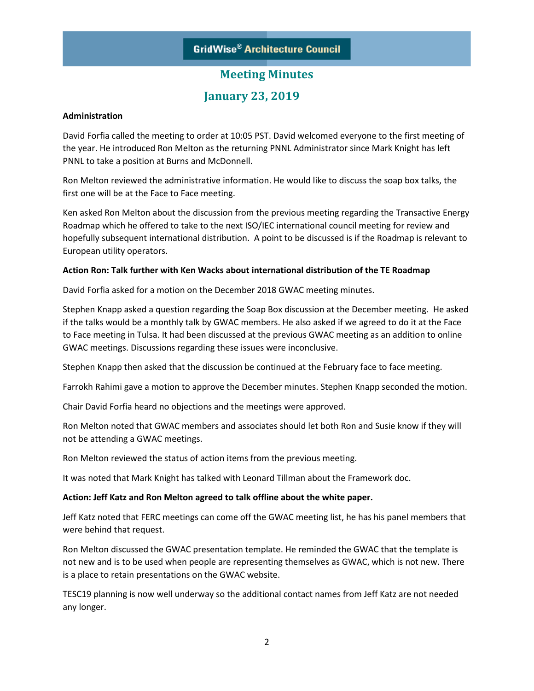## **Meeting Minutes**

### **January 23, 2019**

#### **Administration**

David Forfia called the meeting to order at 10:05 PST. David welcomed everyone to the first meeting of the year. He introduced Ron Melton as the returning PNNL Administrator since Mark Knight has left PNNL to take a position at Burns and McDonnell.

Ron Melton reviewed the administrative information. He would like to discuss the soap box talks, the first one will be at the Face to Face meeting.

Ken asked Ron Melton about the discussion from the previous meeting regarding the Transactive Energy Roadmap which he offered to take to the next ISO/IEC international council meeting for review and hopefully subsequent international distribution. A point to be discussed is if the Roadmap is relevant to European utility operators.

#### **Action Ron: Talk further with Ken Wacks about international distribution of the TE Roadmap**

David Forfia asked for a motion on the December 2018 GWAC meeting minutes.

Stephen Knapp asked a question regarding the Soap Box discussion at the December meeting. He asked if the talks would be a monthly talk by GWAC members. He also asked if we agreed to do it at the Face to Face meeting in Tulsa. It had been discussed at the previous GWAC meeting as an addition to online GWAC meetings. Discussions regarding these issues were inconclusive.

Stephen Knapp then asked that the discussion be continued at the February face to face meeting.

Farrokh Rahimi gave a motion to approve the December minutes. Stephen Knapp seconded the motion.

Chair David Forfia heard no objections and the meetings were approved.

Ron Melton noted that GWAC members and associates should let both Ron and Susie know if they will not be attending a GWAC meetings.

Ron Melton reviewed the status of action items from the previous meeting.

It was noted that Mark Knight has talked with Leonard Tillman about the Framework doc.

#### **Action: Jeff Katz and Ron Melton agreed to talk offline about the white paper.**

Jeff Katz noted that FERC meetings can come off the GWAC meeting list, he has his panel members that were behind that request.

Ron Melton discussed the GWAC presentation template. He reminded the GWAC that the template is not new and is to be used when people are representing themselves as GWAC, which is not new. There is a place to retain presentations on the GWAC website.

TESC19 planning is now well underway so the additional contact names from Jeff Katz are not needed any longer.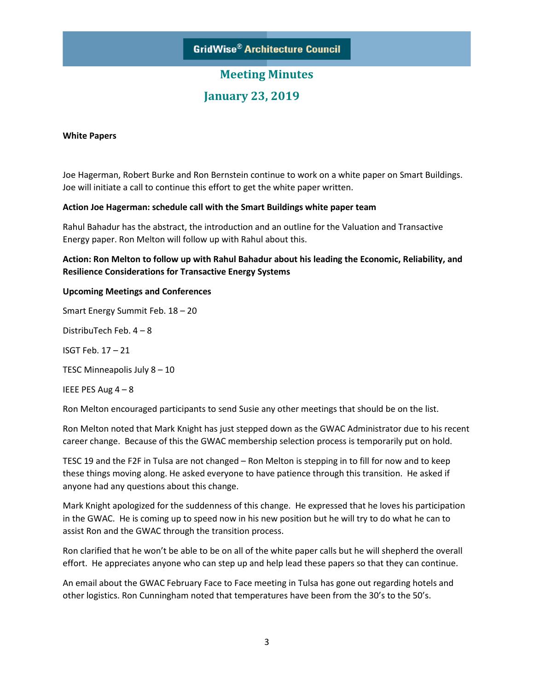# **Meeting Minutes January 23, 2019**

#### **White Papers**

Joe Hagerman, Robert Burke and Ron Bernstein continue to work on a white paper on Smart Buildings. Joe will initiate a call to continue this effort to get the white paper written.

#### **Action Joe Hagerman: schedule call with the Smart Buildings white paper team**

Rahul Bahadur has the abstract, the introduction and an outline for the Valuation and Transactive Energy paper. Ron Melton will follow up with Rahul about this.

**Action: Ron Melton to follow up with Rahul Bahadur about his leading the Economic, Reliability, and Resilience Considerations for Transactive Energy Systems**

#### **Upcoming Meetings and Conferences**

Smart Energy Summit Feb. 18 – 20

DistribuTech Feb. 4 – 8

ISGT Feb. 17 – 21

TESC Minneapolis July 8 – 10

IEEE PES Aug 4 – 8

Ron Melton encouraged participants to send Susie any other meetings that should be on the list.

Ron Melton noted that Mark Knight has just stepped down as the GWAC Administrator due to his recent career change. Because of this the GWAC membership selection process is temporarily put on hold.

TESC 19 and the F2F in Tulsa are not changed – Ron Melton is stepping in to fill for now and to keep these things moving along. He asked everyone to have patience through this transition. He asked if anyone had any questions about this change.

Mark Knight apologized for the suddenness of this change. He expressed that he loves his participation in the GWAC. He is coming up to speed now in his new position but he will try to do what he can to assist Ron and the GWAC through the transition process.

Ron clarified that he won't be able to be on all of the white paper calls but he will shepherd the overall effort. He appreciates anyone who can step up and help lead these papers so that they can continue.

An email about the GWAC February Face to Face meeting in Tulsa has gone out regarding hotels and other logistics. Ron Cunningham noted that temperatures have been from the 30's to the 50's.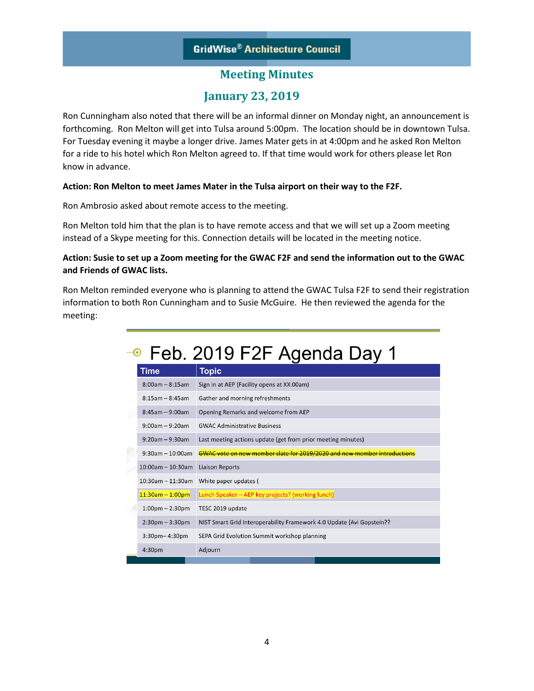### **Meeting Minutes**

### **January 23, 2019**

Ron Cunningham also noted that there will be an informal dinner on Monday night, an announcement is forthcoming. Ron Melton will get into Tulsa around 5:00pm. The location should be in downtown Tulsa. For Tuesday evening it maybe a longer drive. James Mater gets in at 4:00pm and he asked Ron Melton for a ride to his hotel which Ron Melton agreed to. If that time would work for others please let Ron know in advance.

#### **Action: Ron Melton to meet James Mater in the Tulsa airport on their way to the F2F.**

Ron Ambrosio asked about remote access to the meeting.

Ron Melton told him that the plan is to have remote access and that we will set up a Zoom meeting instead of a Skype meeting for this. Connection details will be located in the meeting notice.

#### **Action: Susie to set up a Zoom meeting for the GWAC F2F and send the information out to the GWAC and Friends of GWAC lists.**

Ron Melton reminded everyone who is planning to attend the GWAC Tulsa F2F to send their registration information to both Ron Cunningham and to Susie McGuire. He then reviewed the agenda for the meeting:

# → Feb. 2019 F2F Agenda Day 1

|  | Time                              | Topic                                                                    |
|--|-----------------------------------|--------------------------------------------------------------------------|
|  | $8:00am - 8:15am$                 | Sign in at AEP (Facility opens at XX:00am)                               |
|  | $8:15am - 8:45am$                 | Gather and morning refreshments                                          |
|  | $8:45am - 9:00am$                 | Opening Remarks and welcome from AEP                                     |
|  | $9:00am - 9:20am$                 | <b>GWAC Administrative Business</b>                                      |
|  | $9:20am - 9:30am$                 | Last meeting actions update (get from prior meeting minutes)             |
|  | $9:30$ am - 10:00am               | GWAC vote on new member slate for 2019/2020 and new member introductions |
|  | $10:00$ am - 10:30am              | <b>Liaison Reports</b>                                                   |
|  | $10:30$ am - $11:30$ am           | White paper updates (                                                    |
|  | $11:30am - 1:00pm$                | Lunch Speaker - AEP key projects? (working lunch)                        |
|  | $1:00 \text{pm} - 2:30 \text{pm}$ | TESC 2019 update                                                         |
|  | $2:30$ pm $-3:30$ pm              | NIST Smart Grid Interoperability Framework 4.0 Update (Avi Gopstein??    |
|  | $3:30$ pm- $4:30$ pm              | SEPA Grid Evolution Summit workshop planning                             |
|  | 4:30 <sub>pm</sub>                | Adjourn                                                                  |
|  |                                   |                                                                          |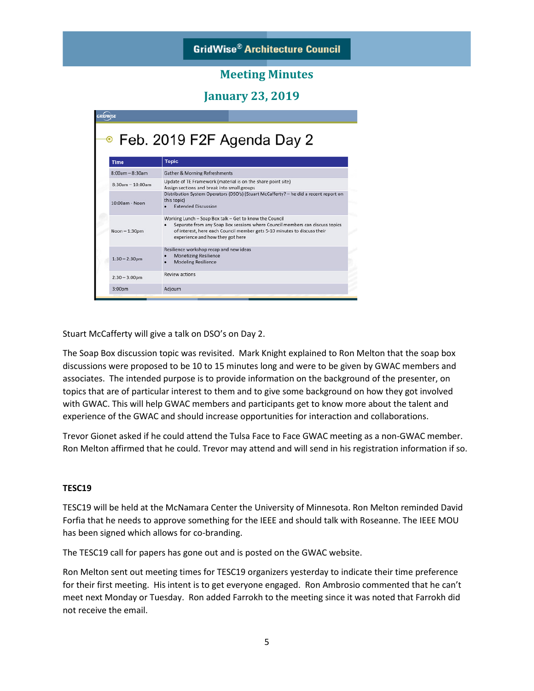### **Meeting Minutes**

**January 23, 2019**

|                    | <sup>●</sup> Feb. 2019 F2F Agenda Day 2                                                                                                                                                                                                                 |  |  |
|--------------------|---------------------------------------------------------------------------------------------------------------------------------------------------------------------------------------------------------------------------------------------------------|--|--|
| <b>Time</b>        | <b>Topic</b>                                                                                                                                                                                                                                            |  |  |
| $8:00am - 8:30am$  | <b>Gather &amp; Morning Refreshments</b>                                                                                                                                                                                                                |  |  |
| $8:30am - 10:00am$ | Update of TE Framework (material is on the share point site)<br>Assign sections and break into small groups                                                                                                                                             |  |  |
| 10:00am - Noon     | Distribution System Operators (DSO's) (Stuart McCafferty? - he did a recent report on<br>this topic)<br><b>Extended Discussion</b>                                                                                                                      |  |  |
| Noon $-1:30$ pm    | Working Lunch - Soap Box talk - Get to know the Council<br>Separate from any Soap Box sessions where Council members can discuss topics<br>of interest, here each Council member gets 5-10 minutes to discuss their<br>experience and how they got here |  |  |
| $1:30 - 2:30$ pm   | Resilience workshop recap and new ideas<br><b>Monetizing Resilience</b><br><b>Modeling Resilience</b>                                                                                                                                                   |  |  |
| $2:30 - 3:00$ pm   | <b>Review actions</b>                                                                                                                                                                                                                                   |  |  |
| 3:00 <sub>pm</sub> | Adjourn                                                                                                                                                                                                                                                 |  |  |

Stuart McCafferty will give a talk on DSO's on Day 2.

The Soap Box discussion topic was revisited. Mark Knight explained to Ron Melton that the soap box discussions were proposed to be 10 to 15 minutes long and were to be given by GWAC members and associates. The intended purpose is to provide information on the background of the presenter, on topics that are of particular interest to them and to give some background on how they got involved with GWAC. This will help GWAC members and participants get to know more about the talent and experience of the GWAC and should increase opportunities for interaction and collaborations.

Trevor Gionet asked if he could attend the Tulsa Face to Face GWAC meeting as a non-GWAC member. Ron Melton affirmed that he could. Trevor may attend and will send in his registration information if so.

#### **TESC19**

TESC19 will be held at the McNamara Center the University of Minnesota. Ron Melton reminded David Forfia that he needs to approve something for the IEEE and should talk with Roseanne. The IEEE MOU has been signed which allows for co-branding.

The TESC19 call for papers has gone out and is posted on the GWAC website.

Ron Melton sent out meeting times for TESC19 organizers yesterday to indicate their time preference for their first meeting. His intent is to get everyone engaged. Ron Ambrosio commented that he can't meet next Monday or Tuesday. Ron added Farrokh to the meeting since it was noted that Farrokh did not receive the email.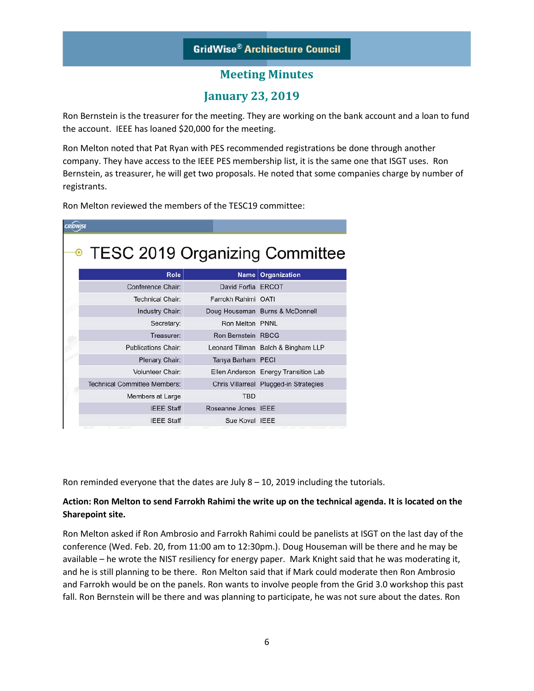### **Meeting Minutes**

### **January 23, 2019**

Ron Bernstein is the treasurer for the meeting. They are working on the bank account and a loan to fund the account. IEEE has loaned \$20,000 for the meeting.

Ron Melton noted that Pat Ryan with PES recommended registrations be done through another company. They have access to the IEEE PES membership list, it is the same one that ISGT uses. Ron Bernstein, as treasurer, he will get two proposals. He noted that some companies charge by number of registrants.

Ron Melton reviewed the members of the TESC19 committee:

| GRÍDWISE                            |                           |                                        |  |  |  |  |
|-------------------------------------|---------------------------|----------------------------------------|--|--|--|--|
| • TESC 2019 Organizing Committee    |                           |                                        |  |  |  |  |
| Role                                |                           | Name   Organization                    |  |  |  |  |
| Conference Chair:                   | David Forfia ERCOT        |                                        |  |  |  |  |
| <b>Technical Chair:</b>             | Farrokh Rahimi OATI       |                                        |  |  |  |  |
| Industry Chair:                     |                           | Doug Houseman Burns & McDonnell        |  |  |  |  |
| Secretary:                          | Ron Melton PNNL           |                                        |  |  |  |  |
| Treasurer:                          | <b>Ron Bernstein RBCG</b> |                                        |  |  |  |  |
| <b>Publications Chair:</b>          |                           | Leonard Tillman Balch & Bingham LLP    |  |  |  |  |
| Plenary Chair:                      | Tanya Barham PECI         |                                        |  |  |  |  |
| <b>Volunteer Chair:</b>             |                           | Ellen Anderson Energy Transition Lab   |  |  |  |  |
| <b>Technical Committee Members:</b> |                           | Chris Villarreal Plugged-in Strategies |  |  |  |  |
| Members at Large                    | <b>TBD</b>                |                                        |  |  |  |  |
| <b>IEEE Staff</b>                   | Roseanne Jones IEEE       |                                        |  |  |  |  |
| <b>IEEE Staff</b>                   | Sue Koval IEEE            |                                        |  |  |  |  |

Ron reminded everyone that the dates are July  $8 - 10$ , 2019 including the tutorials.

#### **Action: Ron Melton to send Farrokh Rahimi the write up on the technical agenda. It is located on the Sharepoint site.**

Ron Melton asked if Ron Ambrosio and Farrokh Rahimi could be panelists at ISGT on the last day of the conference (Wed. Feb. 20, from 11:00 am to 12:30pm.). Doug Houseman will be there and he may be available – he wrote the NIST resiliency for energy paper. Mark Knight said that he was moderating it, and he is still planning to be there. Ron Melton said that if Mark could moderate then Ron Ambrosio and Farrokh would be on the panels. Ron wants to involve people from the Grid 3.0 workshop this past fall. Ron Bernstein will be there and was planning to participate, he was not sure about the dates. Ron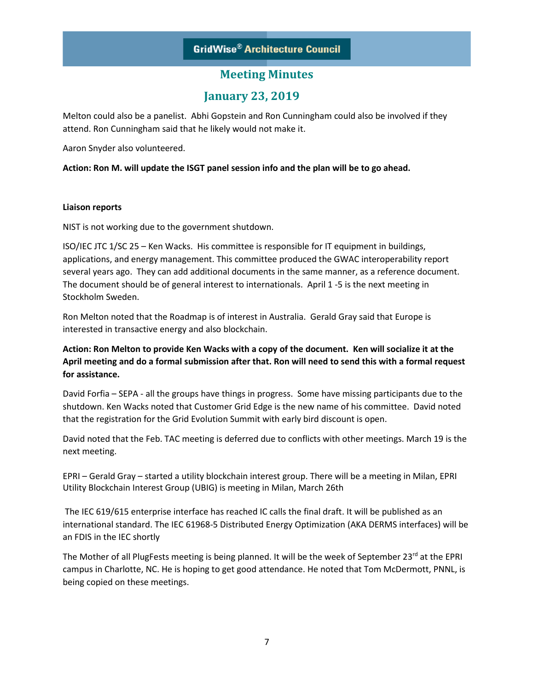### **Meeting Minutes**

### **January 23, 2019**

Melton could also be a panelist. Abhi Gopstein and Ron Cunningham could also be involved if they attend. Ron Cunningham said that he likely would not make it.

Aaron Snyder also volunteered.

**Action: Ron M. will update the ISGT panel session info and the plan will be to go ahead.**

#### **Liaison reports**

NIST is not working due to the government shutdown.

ISO/IEC JTC 1/SC 25 – Ken Wacks. His committee is responsible for IT equipment in buildings, applications, and energy management. This committee produced the GWAC interoperability report several years ago. They can add additional documents in the same manner, as a reference document. The document should be of general interest to internationals. April 1 -5 is the next meeting in Stockholm Sweden.

Ron Melton noted that the Roadmap is of interest in Australia. Gerald Gray said that Europe is interested in transactive energy and also blockchain.

**Action: Ron Melton to provide Ken Wacks with a copy of the document. Ken will socialize it at the April meeting and do a formal submission after that. Ron will need to send this with a formal request for assistance.**

David Forfia – SEPA - all the groups have things in progress. Some have missing participants due to the shutdown. Ken Wacks noted that Customer Grid Edge is the new name of his committee. David noted that the registration for the Grid Evolution Summit with early bird discount is open.

David noted that the Feb. TAC meeting is deferred due to conflicts with other meetings. March 19 is the next meeting.

EPRI – Gerald Gray – started a utility blockchain interest group. There will be a meeting in Milan, EPRI Utility Blockchain Interest Group (UBIG) is meeting in Milan, March 26th

The IEC 619/615 enterprise interface has reached IC calls the final draft. It will be published as an international standard. The IEC 61968-5 Distributed Energy Optimization (AKA DERMS interfaces) will be an FDIS in the IEC shortly

The Mother of all PlugFests meeting is being planned. It will be the week of September 23<sup>rd</sup> at the EPRI campus in Charlotte, NC. He is hoping to get good attendance. He noted that Tom McDermott, PNNL, is being copied on these meetings.